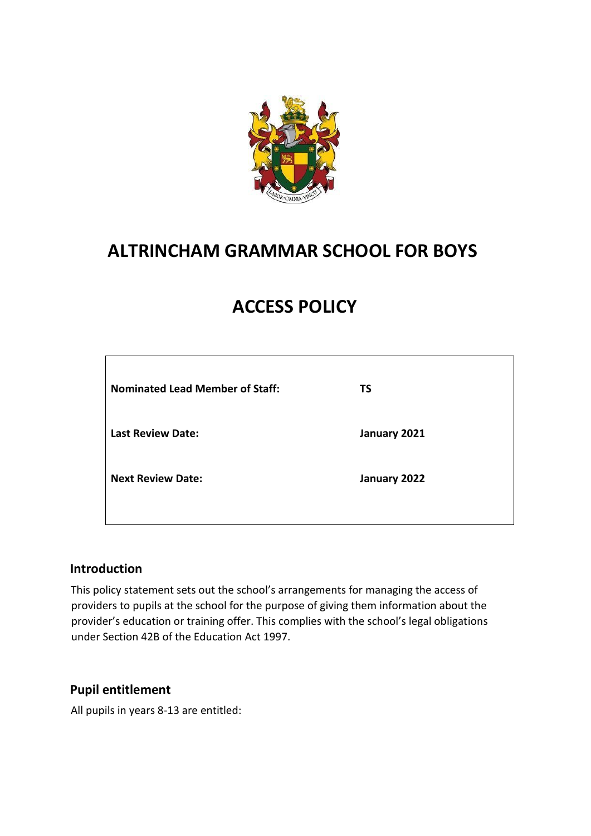

## **ALTRINCHAM GRAMMAR SCHOOL FOR BOYS**

# **ACCESS POLICY**

| <b>Nominated Lead Member of Staff:</b> | <b>TS</b>    |
|----------------------------------------|--------------|
| <b>Last Review Date:</b>               | January 2021 |
| <b>Next Review Date:</b>               | January 2022 |
|                                        |              |

### **Introduction**

This policy statement sets out the school's arrangements for managing the access of providers to pupils at the school for the purpose of giving them information about the provider's education or training offer. This complies with the school's legal obligations under Section 42B of the Education Act 1997.

### **Pupil entitlement**

All pupils in years 8-13 are entitled: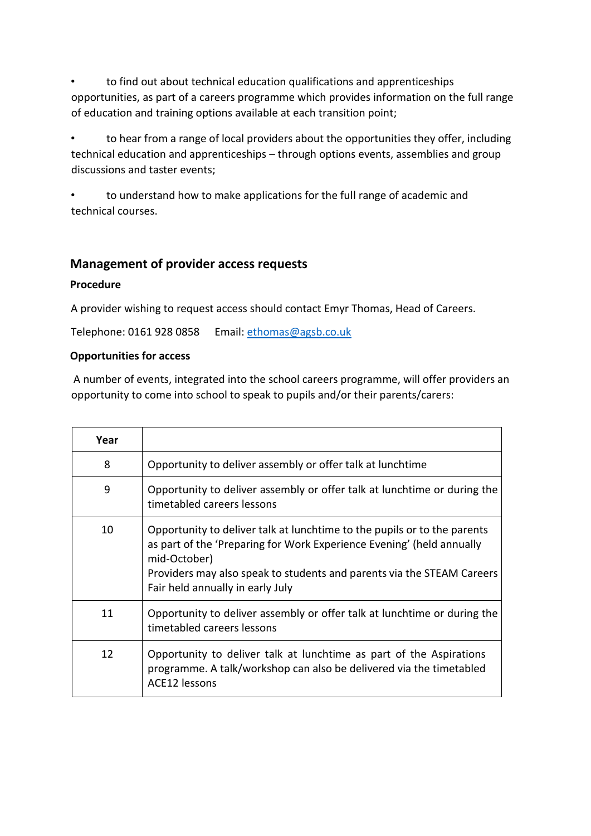to find out about technical education qualifications and apprenticeships opportunities, as part of a careers programme which provides information on the full range of education and training options available at each transition point;

to hear from a range of local providers about the opportunities they offer, including technical education and apprenticeships – through options events, assemblies and group discussions and taster events;

• to understand how to make applications for the full range of academic and technical courses.

## **Management of provider access requests**

#### **Procedure**

A provider wishing to request access should contact Emyr Thomas, Head of Careers.

Telephone: 0161 928 0858 Email: ethomas@agsb.co.uk

#### **Opportunities for access**

A number of events, integrated into the school careers programme, will offer providers an opportunity to come into school to speak to pupils and/or their parents/carers:

| Year |                                                                                                                                                                                                                                                                                 |
|------|---------------------------------------------------------------------------------------------------------------------------------------------------------------------------------------------------------------------------------------------------------------------------------|
| 8    | Opportunity to deliver assembly or offer talk at lunchtime                                                                                                                                                                                                                      |
| 9    | Opportunity to deliver assembly or offer talk at lunchtime or during the<br>timetabled careers lessons                                                                                                                                                                          |
| 10   | Opportunity to deliver talk at lunchtime to the pupils or to the parents<br>as part of the 'Preparing for Work Experience Evening' (held annually<br>mid-October)<br>Providers may also speak to students and parents via the STEAM Careers<br>Fair held annually in early July |
| 11   | Opportunity to deliver assembly or offer talk at lunchtime or during the<br>timetabled careers lessons                                                                                                                                                                          |
| 12   | Opportunity to deliver talk at lunchtime as part of the Aspirations<br>programme. A talk/workshop can also be delivered via the timetabled<br>ACE12 lessons                                                                                                                     |